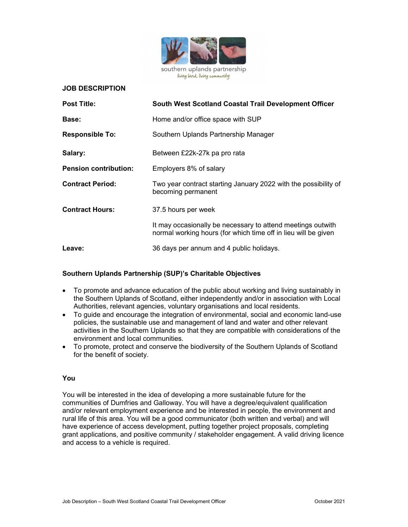

#### JOB DESCRIPTION

| <b>Post Title:</b>           | South West Scotland Coastal Trail Development Officer                                                                         |
|------------------------------|-------------------------------------------------------------------------------------------------------------------------------|
| <b>Base:</b>                 | Home and/or office space with SUP                                                                                             |
| <b>Responsible To:</b>       | Southern Uplands Partnership Manager                                                                                          |
| Salary:                      | Between £22k-27k pa pro rata                                                                                                  |
| <b>Pension contribution:</b> | Employers 8% of salary                                                                                                        |
| <b>Contract Period:</b>      | Two year contract starting January 2022 with the possibility of<br>becoming permanent                                         |
| <b>Contract Hours:</b>       | 37.5 hours per week                                                                                                           |
|                              | It may occasionally be necessary to attend meetings outwith<br>normal working hours (for which time off in lieu will be given |
| Leave:                       | 36 days per annum and 4 public holidays.                                                                                      |

#### Southern Uplands Partnership (SUP)'s Charitable Objectives

- To promote and advance education of the public about working and living sustainably in the Southern Uplands of Scotland, either independently and/or in association with Local Authorities, relevant agencies, voluntary organisations and local residents.
- To guide and encourage the integration of environmental, social and economic land-use policies, the sustainable use and management of land and water and other relevant activities in the Southern Uplands so that they are compatible with considerations of the environment and local communities.
- To promote, protect and conserve the biodiversity of the Southern Uplands of Scotland for the benefit of society.

### You

You will be interested in the idea of developing a more sustainable future for the communities of Dumfries and Galloway. You will have a degree/equivalent qualification and/or relevant employment experience and be interested in people, the environment and rural life of this area. You will be a good communicator (both written and verbal) and will have experience of access development, putting together project proposals, completing grant applications, and positive community / stakeholder engagement. A valid driving licence and access to a vehicle is required.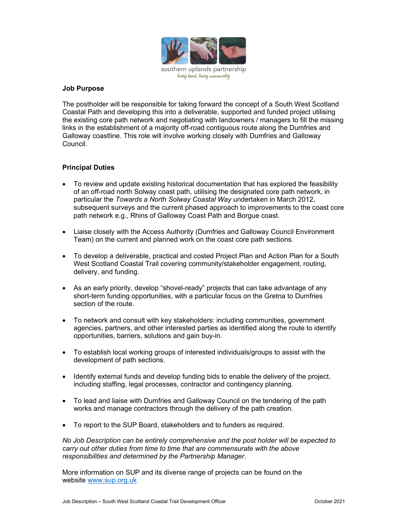

### Job Purpose

The postholder will be responsible for taking forward the concept of a South West Scotland Coastal Path and developing this into a deliverable, supported and funded project utilising the existing core path network and negotiating with landowners / managers to fill the missing links in the establishment of a majority off-road contiguous route along the Dumfries and Galloway coastline. This role will involve working closely with Dumfries and Galloway Council.

## Principal Duties

- To review and update existing historical documentation that has explored the feasibility of an off-road north Solway coast path, utilising the designated core path network, in particular the Towards a North Solway Coastal Way undertaken in March 2012, subsequent surveys and the current phased approach to improvements to the coast core path network e.g., Rhins of Galloway Coast Path and Borgue coast.
- Liaise closely with the Access Authority (Dumfries and Galloway Council Environment Team) on the current and planned work on the coast core path sections.
- To develop a deliverable, practical and costed Project Plan and Action Plan for a South West Scotland Coastal Trail covering community/stakeholder engagement, routing, delivery, and funding.
- As an early priority, develop "shovel-ready" projects that can take advantage of any short-term funding opportunities, with a particular focus on the Gretna to Dumfries section of the route.
- To network and consult with key stakeholders: including communities, government agencies, partners, and other interested parties as identified along the route to identify opportunities, barriers, solutions and gain buy-in.
- To establish local working groups of interested individuals/groups to assist with the development of path sections.
- Identify external funds and develop funding bids to enable the delivery of the project, including staffing, legal processes, contractor and contingency planning.
- To lead and liaise with Dumfries and Galloway Council on the tendering of the path works and manage contractors through the delivery of the path creation.
- To report to the SUP Board, stakeholders and to funders as required.

No Job Description can be entirely comprehensive and the post holder will be expected to carry out other duties from time to time that are commensurate with the above responsibilities and determined by the Partnership Manager.

More information on SUP and its diverse range of projects can be found on the website www.sup.org.uk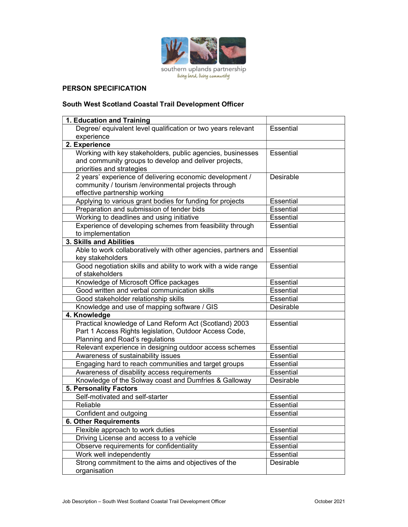

# PERSON SPECIFICATION

## South West Scotland Coastal Trail Development Officer

| 1. Education and Training                                      |                  |
|----------------------------------------------------------------|------------------|
| Degree/ equivalent level qualification or two years relevant   | <b>Essential</b> |
| experience                                                     |                  |
| 2. Experience                                                  |                  |
| Working with key stakeholders, public agencies, businesses     | Essential        |
| and community groups to develop and deliver projects,          |                  |
| priorities and strategies                                      |                  |
| 2 years' experience of delivering economic development /       | Desirable        |
| community / tourism /environmental projects through            |                  |
| effective partnership working                                  |                  |
| Applying to various grant bodies for funding for projects      | <b>Essential</b> |
| Preparation and submission of tender bids                      | Essential        |
| Working to deadlines and using initiative                      | Essential        |
| Experience of developing schemes from feasibility through      | Essential        |
| to implementation                                              |                  |
| 3. Skills and Abilities                                        |                  |
| Able to work collaboratively with other agencies, partners and | Essential        |
| key stakeholders                                               |                  |
| Good negotiation skills and ability to work with a wide range  | Essential        |
| of stakeholders                                                |                  |
| Knowledge of Microsoft Office packages                         | <b>Essential</b> |
| Good written and verbal communication skills                   | <b>Essential</b> |
| Good stakeholder relationship skills                           | <b>Essential</b> |
| Knowledge and use of mapping software / GIS                    | Desirable        |
| 4. Knowledge                                                   |                  |
| Practical knowledge of Land Reform Act (Scotland) 2003         | Essential        |
| Part 1 Access Rights legislation, Outdoor Access Code,         |                  |
| Planning and Road's regulations                                |                  |
| Relevant experience in designing outdoor access schemes        | Essential        |
| Awareness of sustainability issues                             | Essential        |
| Engaging hard to reach communities and target groups           | <b>Essential</b> |
| Awareness of disability access requirements                    | <b>Essential</b> |
| Knowledge of the Solway coast and Dumfries & Galloway          | Desirable        |
| <b>5. Personality Factors</b>                                  |                  |
| Self-motivated and self-starter                                | <b>Essential</b> |
| Reliable                                                       | <b>Essential</b> |
| Confident and outgoing                                         | <b>Essential</b> |
| <b>6. Other Requirements</b>                                   |                  |
| Flexible approach to work duties                               | Essential        |
| Driving License and access to a vehicle                        | Essential        |
| Observe requirements for confidentiality                       | Essential        |
| Work well independently                                        | Essential        |
| Strong commitment to the aims and objectives of the            | Desirable        |
| organisation                                                   |                  |